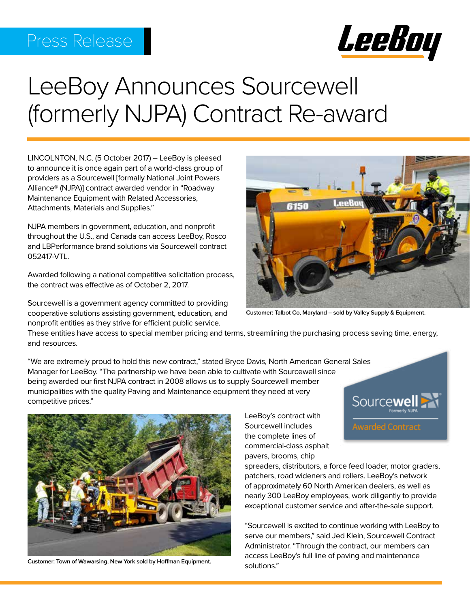# Press Release



# LeeBoy Announces Sourcewell (formerly NJPA) Contract Re-award

LINCOLNTON, N.C. (5 October 2017) – LeeBoy is pleased to announce it is once again part of a world-class group of providers as a Sourcewell [formally National Joint Powers Alliance® (NJPA)] contract awarded vendor in "Roadway Maintenance Equipment with Related Accessories, Attachments, Materials and Supplies."

NJPA members in government, education, and nonprofit throughout the U.S., and Canada can access LeeBoy, Rosco and LBPerformance brand solutions via Sourcewell contract 052417-VTL.

Awarded following a national competitive solicitation process, the contract was effective as of October 2, 2017.

Sourcewell is a government agency committed to providing cooperative solutions assisting government, education, and nonprofit entities as they strive for efficient public service.



**Customer: Talbot Co, Maryland – sold by Valley Supply & Equipment.**

These entities have access to special member pricing and terms, streamlining the purchasing process saving time, energy, and resources.

"We are extremely proud to hold this new contract," stated Bryce Davis, North American General Sales Manager for LeeBoy. "The partnership we have been able to cultivate with Sourcewell since being awarded our first NJPA contract in 2008 allows us to supply Sourcewell member municipalities with the quality Paving and Maintenance equipment they need at very Sourcewell competitive prices."



**Customer: Town of Wawarsing, New York sold by Hoffman Equipment.**

LeeBoy's contract with Sourcewell includes the complete lines of commercial-class asphalt pavers, brooms, chip

spreaders, distributors, a force feed loader, motor graders, patchers, road wideners and rollers. LeeBoy's network of approximately 60 North American dealers, as well as nearly 300 LeeBoy employees, work diligently to provide exceptional customer service and after-the-sale support.

**Awarded Contract** 

"Sourcewell is excited to continue working with LeeBoy to serve our members," said Jed Klein, Sourcewell Contract Administrator. "Through the contract, our members can access LeeBoy's full line of paving and maintenance solutions."